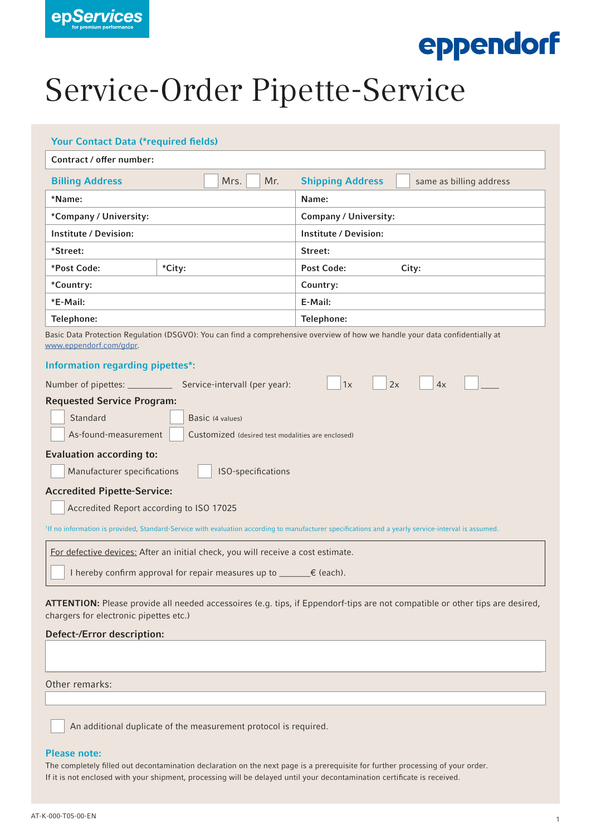

# eppendorf

## Service-Order Pipette-Service

| <b>Your Contact Data (*required fields)</b>                                                                                                                                                                                                                                                                                                                                                                                                                                                                                                                   |  |                                                   |                    |                                                                                                                                            |                                                                                                                              |  |  |  |  |
|---------------------------------------------------------------------------------------------------------------------------------------------------------------------------------------------------------------------------------------------------------------------------------------------------------------------------------------------------------------------------------------------------------------------------------------------------------------------------------------------------------------------------------------------------------------|--|---------------------------------------------------|--------------------|--------------------------------------------------------------------------------------------------------------------------------------------|------------------------------------------------------------------------------------------------------------------------------|--|--|--|--|
| Contract / offer number:                                                                                                                                                                                                                                                                                                                                                                                                                                                                                                                                      |  |                                                   |                    |                                                                                                                                            |                                                                                                                              |  |  |  |  |
| <b>Billing Address</b>                                                                                                                                                                                                                                                                                                                                                                                                                                                                                                                                        |  | Mrs.                                              | Mr.                | <b>Shipping Address</b><br>same as billing address                                                                                         |                                                                                                                              |  |  |  |  |
| *Name:                                                                                                                                                                                                                                                                                                                                                                                                                                                                                                                                                        |  |                                                   |                    | Name:                                                                                                                                      |                                                                                                                              |  |  |  |  |
| *Company / University:                                                                                                                                                                                                                                                                                                                                                                                                                                                                                                                                        |  |                                                   |                    | <b>Company / University:</b>                                                                                                               |                                                                                                                              |  |  |  |  |
| <b>Institute / Devision:</b>                                                                                                                                                                                                                                                                                                                                                                                                                                                                                                                                  |  |                                                   |                    | <b>Institute / Devision:</b>                                                                                                               |                                                                                                                              |  |  |  |  |
| *Street:                                                                                                                                                                                                                                                                                                                                                                                                                                                                                                                                                      |  |                                                   |                    | Street:                                                                                                                                    |                                                                                                                              |  |  |  |  |
| *Post Code:<br>*City:                                                                                                                                                                                                                                                                                                                                                                                                                                                                                                                                         |  |                                                   |                    | <b>Post Code:</b><br>City:                                                                                                                 |                                                                                                                              |  |  |  |  |
| *Country:                                                                                                                                                                                                                                                                                                                                                                                                                                                                                                                                                     |  |                                                   |                    | Country:                                                                                                                                   |                                                                                                                              |  |  |  |  |
| *E-Mail:                                                                                                                                                                                                                                                                                                                                                                                                                                                                                                                                                      |  |                                                   |                    | E-Mail:                                                                                                                                    |                                                                                                                              |  |  |  |  |
| Telephone:                                                                                                                                                                                                                                                                                                                                                                                                                                                                                                                                                    |  |                                                   |                    | Telephone:<br>Basic Data Protection Regulation (DSGVO): You can find a comprehensive overview of how we handle your data confidentially at |                                                                                                                              |  |  |  |  |
| <b>Information regarding pipettes*:</b><br>Number of pipettes: __________<br><b>Requested Service Program:</b><br>Standard<br>As-found-measurement<br><b>Evaluation according to:</b><br>Manufacturer specifications<br><b>Accredited Pipette-Service:</b><br>Accredited Report according to ISO 17025<br><sup>1</sup> If no information is provided, Standard-Service with evaluation according to manufacturer specifications and a yearly service-interval is assumed.<br>For defective devices: After an initial check, you will receive a cost estimate. |  | Service-intervall (per year):<br>Basic (4 values) | ISO-specifications | 1x<br>2x<br>Customized (desired test modalities are enclosed)                                                                              | 4x                                                                                                                           |  |  |  |  |
| I hereby confirm approval for repair measures up to ______€ (each).                                                                                                                                                                                                                                                                                                                                                                                                                                                                                           |  |                                                   |                    |                                                                                                                                            |                                                                                                                              |  |  |  |  |
| chargers for electronic pipettes etc.)<br><b>Defect-/Error description:</b>                                                                                                                                                                                                                                                                                                                                                                                                                                                                                   |  |                                                   |                    |                                                                                                                                            | ATTENTION: Please provide all needed accessoires (e.g. tips, if Eppendorf-tips are not compatible or other tips are desired, |  |  |  |  |
| Other remarks:                                                                                                                                                                                                                                                                                                                                                                                                                                                                                                                                                |  |                                                   |                    |                                                                                                                                            |                                                                                                                              |  |  |  |  |

An additional duplicate of the measurement protocol is required.

### Please note:

The completely filled out decontamination declaration on the next page is a prerequisite for further processing of your order. If it is not enclosed with your shipment, processing will be delayed until your decontamination certificate is received.